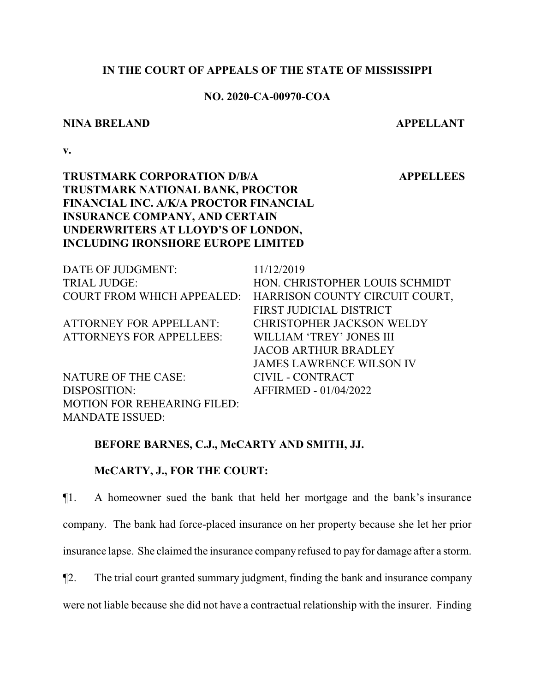## **IN THE COURT OF APPEALS OF THE STATE OF MISSISSIPPI**

### **NO. 2020-CA-00970-COA**

#### **NINA BRELAND APPELLANT**

 **APPELLEES**

**v.**

# **TRUSTMARK CORPORATION D/B/A TRUSTMARK NATIONAL BANK, PROCTOR FINANCIAL INC. A/K/A PROCTOR FINANCIAL INSURANCE COMPANY, AND CERTAIN UNDERWRITERS AT LLOYD'S OF LONDON, INCLUDING IRONSHORE EUROPE LIMITED**

| DATE OF JUDGMENT:                  | 11/12/2019                       |
|------------------------------------|----------------------------------|
| <b>TRIAL JUDGE:</b>                | HON. CHRISTOPHER LOUIS SCHMIDT   |
| <b>COURT FROM WHICH APPEALED:</b>  | HARRISON COUNTY CIRCUIT COURT,   |
|                                    | FIRST JUDICIAL DISTRICT          |
| <b>ATTORNEY FOR APPELLANT:</b>     | <b>CHRISTOPHER JACKSON WELDY</b> |
| <b>ATTORNEYS FOR APPELLEES:</b>    | WILLIAM 'TREY' JONES III         |
|                                    | <b>JACOB ARTHUR BRADLEY</b>      |
|                                    | <b>JAMES LAWRENCE WILSON IV</b>  |
| <b>NATURE OF THE CASE:</b>         | <b>CIVIL - CONTRACT</b>          |
| DISPOSITION:                       | AFFIRMED - 01/04/2022            |
| <b>MOTION FOR REHEARING FILED:</b> |                                  |
| <b>MANDATE ISSUED:</b>             |                                  |

#### **BEFORE BARNES, C.J., McCARTY AND SMITH, JJ.**

#### **McCARTY, J., FOR THE COURT:**

¶1. A homeowner sued the bank that held her mortgage and the bank's insurance company. The bank had force-placed insurance on her property because she let her prior insurance lapse. She claimed the insurance company refused to pay for damage after a storm.

¶2. The trial court granted summary judgment, finding the bank and insurance company

were not liable because she did not have a contractual relationship with the insurer. Finding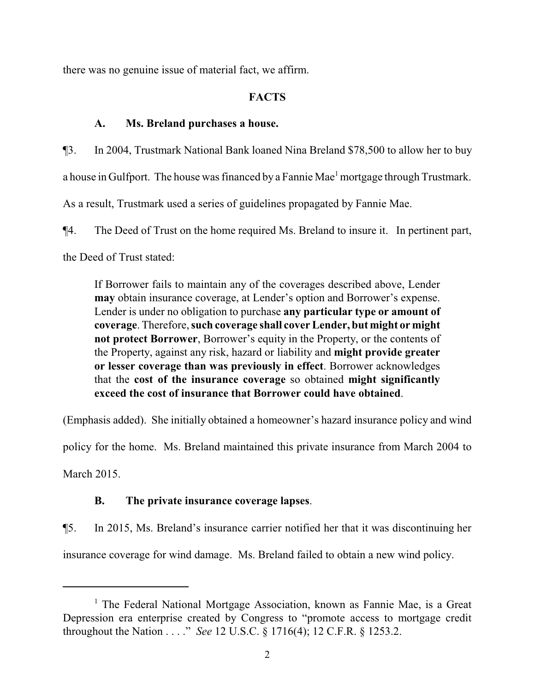there was no genuine issue of material fact, we affirm.

# **FACTS**

# **A. Ms. Breland purchases a house.**

¶3. In 2004, Trustmark National Bank loaned Nina Breland \$78,500 to allow her to buy a house in Gulfport. The house was financed by a Fannie Mae<sup>1</sup> mortgage through Trustmark. As a result, Trustmark used a series of guidelines propagated by Fannie Mae.

¶4. The Deed of Trust on the home required Ms. Breland to insure it. In pertinent part, the Deed of Trust stated:

If Borrower fails to maintain any of the coverages described above, Lender **may** obtain insurance coverage, at Lender's option and Borrower's expense. Lender is under no obligation to purchase **any particular type or amount of coverage**. Therefore, **such coverage shall cover Lender, but might or might not protect Borrower**, Borrower's equity in the Property, or the contents of the Property, against any risk, hazard or liability and **might provide greater or lesser coverage than was previously in effect**. Borrower acknowledges that the **cost of the insurance coverage** so obtained **might significantly exceed the cost of insurance that Borrower could have obtained**.

(Emphasis added). She initially obtained a homeowner's hazard insurance policy and wind policy for the home. Ms. Breland maintained this private insurance from March 2004 to March 2015.

# **B. The private insurance coverage lapses**.

¶5. In 2015, Ms. Breland's insurance carrier notified her that it was discontinuing her insurance coverage for wind damage. Ms. Breland failed to obtain a new wind policy.

<sup>&</sup>lt;sup>1</sup> The Federal National Mortgage Association, known as Fannie Mae, is a Great Depression era enterprise created by Congress to "promote access to mortgage credit throughout the Nation . . . ." *See* 12 U.S.C. § 1716(4); 12 C.F.R. § 1253.2.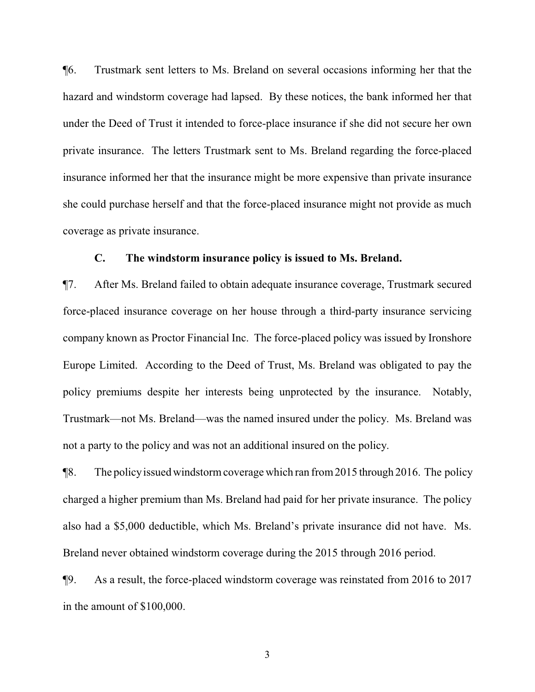¶6. Trustmark sent letters to Ms. Breland on several occasions informing her that the hazard and windstorm coverage had lapsed. By these notices, the bank informed her that under the Deed of Trust it intended to force-place insurance if she did not secure her own private insurance. The letters Trustmark sent to Ms. Breland regarding the force-placed insurance informed her that the insurance might be more expensive than private insurance she could purchase herself and that the force-placed insurance might not provide as much coverage as private insurance.

#### **C. The windstorm insurance policy is issued to Ms. Breland.**

¶7. After Ms. Breland failed to obtain adequate insurance coverage, Trustmark secured force-placed insurance coverage on her house through a third-party insurance servicing company known as Proctor Financial Inc. The force-placed policy was issued by Ironshore Europe Limited. According to the Deed of Trust, Ms. Breland was obligated to pay the policy premiums despite her interests being unprotected by the insurance. Notably, Trustmark—not Ms. Breland—was the named insured under the policy. Ms. Breland was not a party to the policy and was not an additional insured on the policy.

¶8. The policyissued windstormcoverage which ran from2015 through 2016. The policy charged a higher premium than Ms. Breland had paid for her private insurance. The policy also had a \$5,000 deductible, which Ms. Breland's private insurance did not have. Ms. Breland never obtained windstorm coverage during the 2015 through 2016 period.

¶9. As a result, the force-placed windstorm coverage was reinstated from 2016 to 2017 in the amount of \$100,000.

3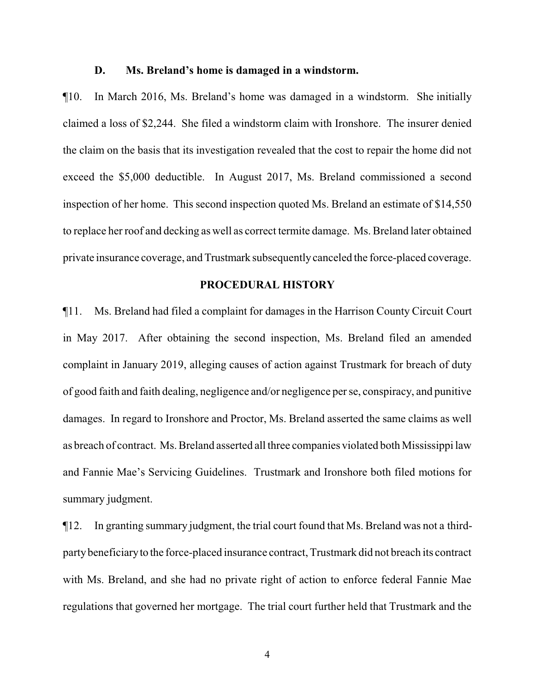#### **D. Ms. Breland's home is damaged in a windstorm.**

¶10. In March 2016, Ms. Breland's home was damaged in a windstorm. She initially claimed a loss of \$2,244. She filed a windstorm claim with Ironshore. The insurer denied the claim on the basis that its investigation revealed that the cost to repair the home did not exceed the \$5,000 deductible. In August 2017, Ms. Breland commissioned a second inspection of her home. This second inspection quoted Ms. Breland an estimate of \$14,550 to replace her roof and decking as well as correct termite damage. Ms. Breland later obtained private insurance coverage, and Trustmark subsequentlycanceled the force-placed coverage.

#### **PROCEDURAL HISTORY**

¶11. Ms. Breland had filed a complaint for damages in the Harrison County Circuit Court in May 2017. After obtaining the second inspection, Ms. Breland filed an amended complaint in January 2019, alleging causes of action against Trustmark for breach of duty of good faith and faith dealing, negligence and/or negligence per se, conspiracy, and punitive damages. In regard to Ironshore and Proctor, Ms. Breland asserted the same claims as well as breach of contract. Ms. Breland asserted all three companies violated both Mississippi law and Fannie Mae's Servicing Guidelines. Trustmark and Ironshore both filed motions for summary judgment.

¶12. In granting summary judgment, the trial court found that Ms. Breland was not a thirdpartybeneficiaryto the force-placed insurance contract, Trustmark did not breach its contract with Ms. Breland, and she had no private right of action to enforce federal Fannie Mae regulations that governed her mortgage. The trial court further held that Trustmark and the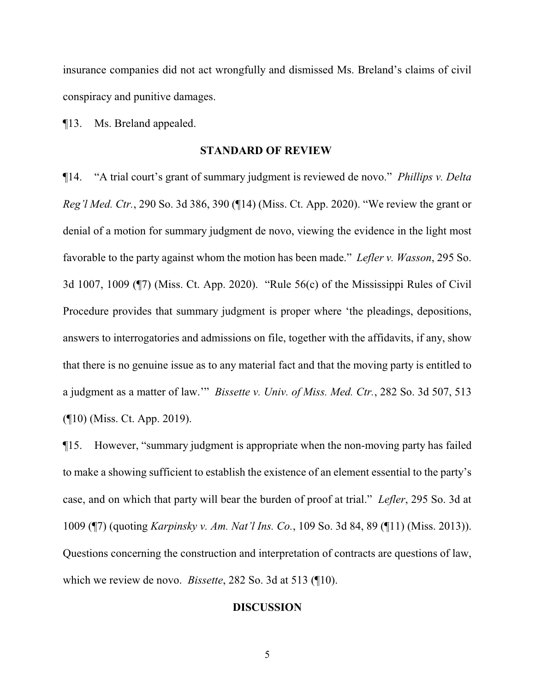insurance companies did not act wrongfully and dismissed Ms. Breland's claims of civil conspiracy and punitive damages.

¶13. Ms. Breland appealed.

#### **STANDARD OF REVIEW**

¶14. "A trial court's grant of summary judgment is reviewed de novo." *Phillips v. Delta Reg'l Med. Ctr.*, 290 So. 3d 386, 390 (¶14) (Miss. Ct. App. 2020). "We review the grant or denial of a motion for summary judgment de novo, viewing the evidence in the light most favorable to the party against whom the motion has been made." *Lefler v. Wasson*, 295 So. 3d 1007, 1009 (¶7) (Miss. Ct. App. 2020). "Rule 56(c) of the Mississippi Rules of Civil Procedure provides that summary judgment is proper where 'the pleadings, depositions, answers to interrogatories and admissions on file, together with the affidavits, if any, show that there is no genuine issue as to any material fact and that the moving party is entitled to a judgment as a matter of law.'" *Bissette v. Univ. of Miss. Med. Ctr.*, 282 So. 3d 507, 513 (¶10) (Miss. Ct. App. 2019).

¶15. However, "summary judgment is appropriate when the non-moving party has failed to make a showing sufficient to establish the existence of an element essential to the party's case, and on which that party will bear the burden of proof at trial." *Lefler*, 295 So. 3d at 1009 (¶7) (quoting *Karpinsky v. Am. Nat'l Ins. Co.*, 109 So. 3d 84, 89 (¶11) (Miss. 2013)). Questions concerning the construction and interpretation of contracts are questions of law, which we review de novo. *Bissette*, 282 So. 3d at 513 (¶10).

#### **DISCUSSION**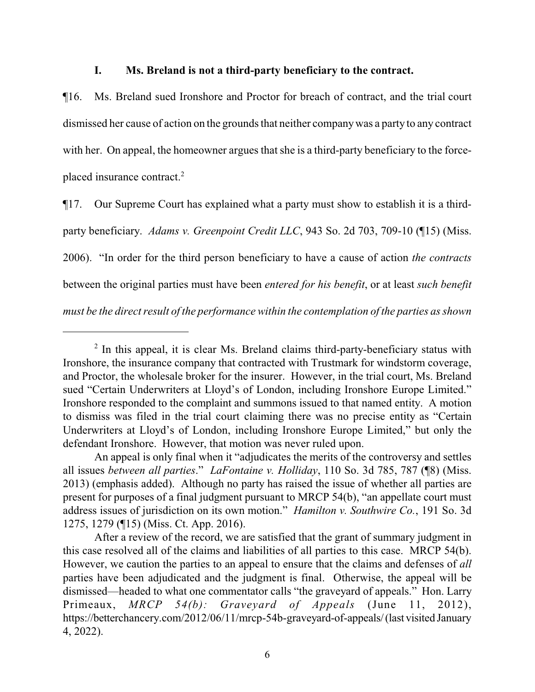### **I. Ms. Breland is not a third-party beneficiary to the contract.**

¶16. Ms. Breland sued Ironshore and Proctor for breach of contract, and the trial court dismissed her cause of action on the grounds that neither companywas a party to any contract with her. On appeal, the homeowner argues that she is a third-party beneficiary to the forceplaced insurance contract.<sup>2</sup>

¶17. Our Supreme Court has explained what a party must show to establish it is a thirdparty beneficiary. *Adams v. Greenpoint Credit LLC*, 943 So. 2d 703, 709-10 (¶15) (Miss. 2006). "In order for the third person beneficiary to have a cause of action *the contracts* between the original parties must have been *entered for his benefit*, or at least *such benefit must be the direct result of the performance within the contemplation of the parties as shown*

<sup>&</sup>lt;sup>2</sup> In this appeal, it is clear Ms. Breland claims third-party-beneficiary status with Ironshore, the insurance company that contracted with Trustmark for windstorm coverage, and Proctor, the wholesale broker for the insurer. However, in the trial court, Ms. Breland sued "Certain Underwriters at Lloyd's of London, including Ironshore Europe Limited." Ironshore responded to the complaint and summons issued to that named entity. A motion to dismiss was filed in the trial court claiming there was no precise entity as "Certain Underwriters at Lloyd's of London, including Ironshore Europe Limited," but only the defendant Ironshore. However, that motion was never ruled upon.

An appeal is only final when it "adjudicates the merits of the controversy and settles all issues *between all parties*." *LaFontaine v. Holliday*, 110 So. 3d 785, 787 (¶8) (Miss. 2013) (emphasis added). Although no party has raised the issue of whether all parties are present for purposes of a final judgment pursuant to MRCP 54(b), "an appellate court must address issues of jurisdiction on its own motion." *Hamilton v. Southwire Co.*, 191 So. 3d 1275, 1279 (¶15) (Miss. Ct. App. 2016).

After a review of the record, we are satisfied that the grant of summary judgment in this case resolved all of the claims and liabilities of all parties to this case. MRCP 54(b). However, we caution the parties to an appeal to ensure that the claims and defenses of *all* parties have been adjudicated and the judgment is final. Otherwise, the appeal will be dismissed—headed to what one commentator calls "the graveyard of appeals." Hon. Larry Primeaux, *MRCP 54(b): Graveyard of Appeals* (June 11, 2012), https://betterchancery.com/2012/06/11/mrcp-54b-graveyard-of-appeals/(last visited January 4, 2022).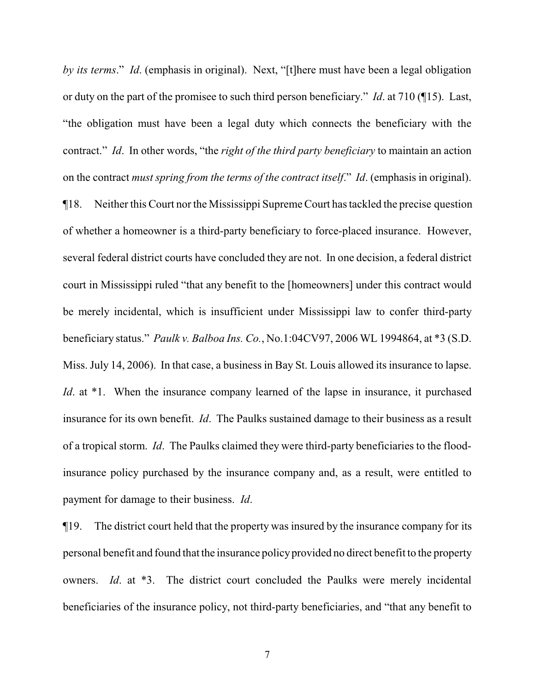*by its terms*." *Id*. (emphasis in original). Next, "[t]here must have been a legal obligation or duty on the part of the promisee to such third person beneficiary." *Id*. at 710 (¶15). Last, "the obligation must have been a legal duty which connects the beneficiary with the contract." *Id*. In other words, "the *right of the third party beneficiary* to maintain an action on the contract *must spring from the terms of the contract itself*." *Id*. (emphasis in original).

¶18. Neither this Court nor the Mississippi SupremeCourt has tackled the precise question of whether a homeowner is a third-party beneficiary to force-placed insurance. However, several federal district courts have concluded they are not. In one decision, a federal district court in Mississippi ruled "that any benefit to the [homeowners] under this contract would be merely incidental, which is insufficient under Mississippi law to confer third-party beneficiary status." *Paulk v. Balboa Ins. Co.*, No.1:04CV97, 2006 WL 1994864, at \*3 (S.D. Miss. July 14, 2006). In that case, a business in Bay St. Louis allowed its insurance to lapse. *Id.* at \*1. When the insurance company learned of the lapse in insurance, it purchased insurance for its own benefit. *Id*. The Paulks sustained damage to their business as a result of a tropical storm. *Id*. The Paulks claimed they were third-party beneficiaries to the floodinsurance policy purchased by the insurance company and, as a result, were entitled to payment for damage to their business. *Id*.

¶19. The district court held that the property was insured by the insurance company for its personal benefit and found that the insurance policyprovided no direct benefit to the property owners. *Id*. at \*3. The district court concluded the Paulks were merely incidental beneficiaries of the insurance policy, not third-party beneficiaries, and "that any benefit to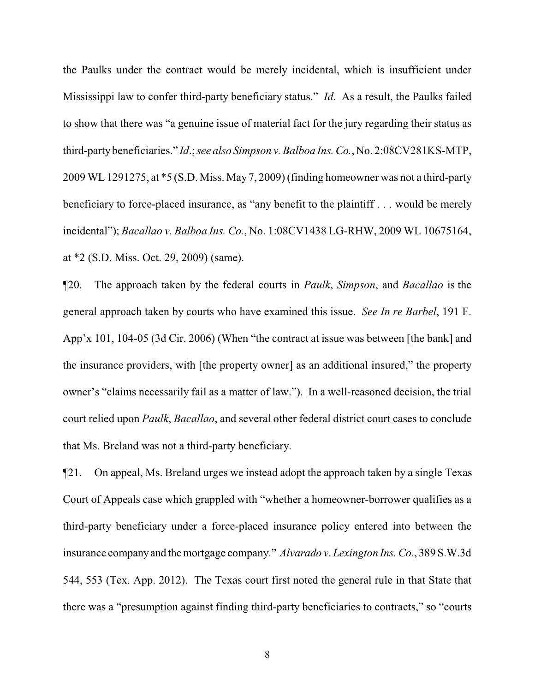the Paulks under the contract would be merely incidental, which is insufficient under Mississippi law to confer third-party beneficiary status." *Id*. As a result, the Paulks failed to show that there was "a genuine issue of material fact for the jury regarding their status as third-partybeneficiaries." *Id*.; *see also Simpson v. Balboa Ins. Co.*, No. 2:08CV281KS-MTP, 2009 WL 1291275, at \*5 (S.D. Miss. May 7, 2009) (finding homeowner was not a third-party beneficiary to force-placed insurance, as "any benefit to the plaintiff . . . would be merely incidental"); *Bacallao v. Balboa Ins. Co.*, No. 1:08CV1438 LG-RHW, 2009 WL 10675164, at \*2 (S.D. Miss. Oct. 29, 2009) (same).

¶20. The approach taken by the federal courts in *Paulk*, *Simpson*, and *Bacallao* is the general approach taken by courts who have examined this issue. *See In re Barbel*, 191 F. App'x 101, 104-05 (3d Cir. 2006) (When "the contract at issue was between [the bank] and the insurance providers, with [the property owner] as an additional insured," the property owner's "claims necessarily fail as a matter of law."). In a well-reasoned decision, the trial court relied upon *Paulk*, *Bacallao*, and several other federal district court cases to conclude that Ms. Breland was not a third-party beneficiary.

¶21. On appeal, Ms. Breland urges we instead adopt the approach taken by a single Texas Court of Appeals case which grappled with "whether a homeowner-borrower qualifies as a third-party beneficiary under a force-placed insurance policy entered into between the insurance companyand themortgage company." *Alvarado v. Lexington Ins. Co.*, 389 S.W.3d 544, 553 (Tex. App. 2012). The Texas court first noted the general rule in that State that there was a "presumption against finding third-party beneficiaries to contracts," so "courts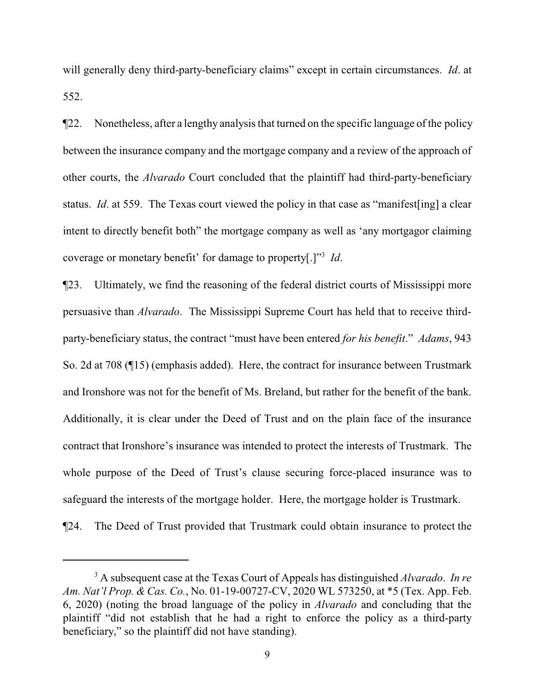will generally deny third-party-beneficiary claims" except in certain circumstances. *Id*. at 552.

¶22. Nonetheless, after a lengthy analysis that turned on the specific language of the policy between the insurance company and the mortgage company and a review of the approach of other courts, the *Alvarado* Court concluded that the plaintiff had third-party-beneficiary status. *Id*. at 559. The Texas court viewed the policy in that case as "manifest[ing] a clear intent to directly benefit both" the mortgage company as well as 'any mortgagor claiming coverage or monetary benefit' for damage to property[.]"<sup>3</sup> *Id*.

¶23. Ultimately, we find the reasoning of the federal district courts of Mississippi more persuasive than *Alvarado*. The Mississippi Supreme Court has held that to receive thirdparty-beneficiary status, the contract "must have been entered *for his benefit*." *Adams*, 943 So. 2d at 708 (¶15) (emphasis added). Here, the contract for insurance between Trustmark and Ironshore was not for the benefit of Ms. Breland, but rather for the benefit of the bank. Additionally, it is clear under the Deed of Trust and on the plain face of the insurance contract that Ironshore's insurance was intended to protect the interests of Trustmark. The whole purpose of the Deed of Trust's clause securing force-placed insurance was to safeguard the interests of the mortgage holder. Here, the mortgage holder is Trustmark.

¶24. The Deed of Trust provided that Trustmark could obtain insurance to protect the

<sup>3</sup> A subsequent case at the Texas Court of Appeals has distinguished *Alvarado*. *In re Am. Nat'l Prop. & Cas. Co.*, No. 01-19-00727-CV, 2020 WL 573250, at \*5 (Tex. App. Feb. 6, 2020) (noting the broad language of the policy in *Alvarado* and concluding that the plaintiff "did not establish that he had a right to enforce the policy as a third-party beneficiary," so the plaintiff did not have standing).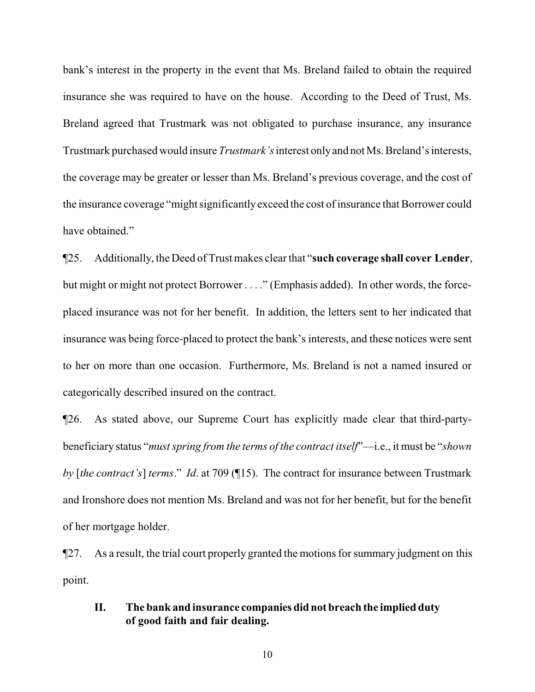bank's interest in the property in the event that Ms. Breland failed to obtain the required insurance she was required to have on the house. According to the Deed of Trust, Ms. Breland agreed that Trustmark was not obligated to purchase insurance, any insurance Trustmark purchased would insure *Trustmark's*interest onlyand not Ms. Breland's interests, the coverage may be greater or lesser than Ms. Breland's previous coverage, and the cost of the insurance coverage "might significantlyexceed the cost of insurance that Borrower could have obtained."

¶25. Additionally, the Deed of Trust makes clear that "**such coverage shall cover Lender**, but might or might not protect Borrower . . . ." (Emphasis added). In other words, the forceplaced insurance was not for her benefit. In addition, the letters sent to her indicated that insurance was being force-placed to protect the bank's interests, and these notices were sent to her on more than one occasion. Furthermore, Ms. Breland is not a named insured or categorically described insured on the contract.

¶26. As stated above, our Supreme Court has explicitly made clear that third-partybeneficiary status "*must spring from the terms of the contract itself*"—i.e., it must be "*shown by* [*the contract's*] *terms*." *Id*. at 709 (¶15). The contract for insurance between Trustmark and Ironshore does not mention Ms. Breland and was not for her benefit, but for the benefit of her mortgage holder.

¶27. As a result, the trial court properly granted the motions for summary judgment on this point.

# **II. The bank and insurance companies did not breach the implied duty of good faith and fair dealing.**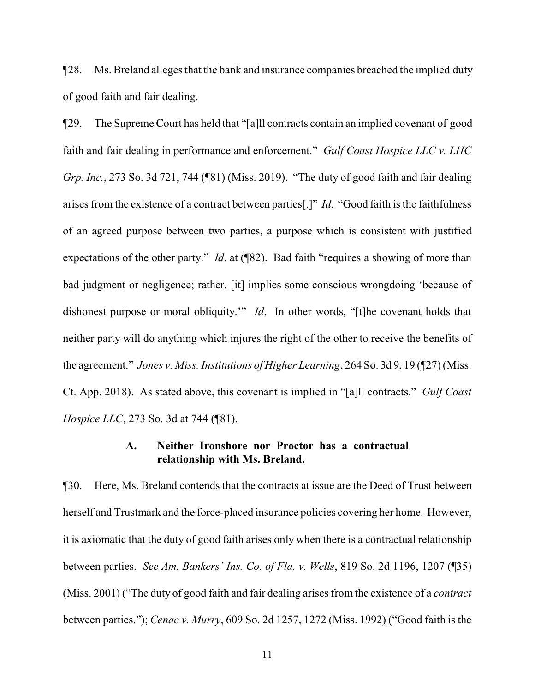¶28. Ms. Breland alleges that the bank and insurance companies breached the implied duty of good faith and fair dealing.

¶29. The Supreme Court has held that "[a]ll contracts contain an implied covenant of good faith and fair dealing in performance and enforcement." *Gulf Coast Hospice LLC v. LHC Grp. Inc.*, 273 So. 3d 721, 744 (¶81) (Miss. 2019). "The duty of good faith and fair dealing arises from the existence of a contract between parties[.]" *Id*. "Good faith is the faithfulness of an agreed purpose between two parties, a purpose which is consistent with justified expectations of the other party." *Id*. at (¶82). Bad faith "requires a showing of more than bad judgment or negligence; rather, [it] implies some conscious wrongdoing 'because of dishonest purpose or moral obliquity.'" *Id*. In other words, "[t]he covenant holds that neither party will do anything which injures the right of the other to receive the benefits of the agreement." *Jones v. Miss. Institutions of Higher Learning*, 264 So. 3d 9, 19 (¶27) (Miss. Ct. App. 2018). As stated above, this covenant is implied in "[a]ll contracts." *Gulf Coast Hospice LLC*, 273 So. 3d at 744 (¶81).

# **A. Neither Ironshore nor Proctor has a contractual relationship with Ms. Breland.**

¶30. Here, Ms. Breland contends that the contracts at issue are the Deed of Trust between herself and Trustmark and the force-placed insurance policies covering her home. However, it is axiomatic that the duty of good faith arises only when there is a contractual relationship between parties. *See Am. Bankers' Ins. Co. of Fla. v. Wells*, 819 So. 2d 1196, 1207 (¶35) (Miss. 2001) ("The duty of good faith and fair dealing arises from the existence of a *contract* between parties."); *Cenac v. Murry*, 609 So. 2d 1257, 1272 (Miss. 1992) ("Good faith is the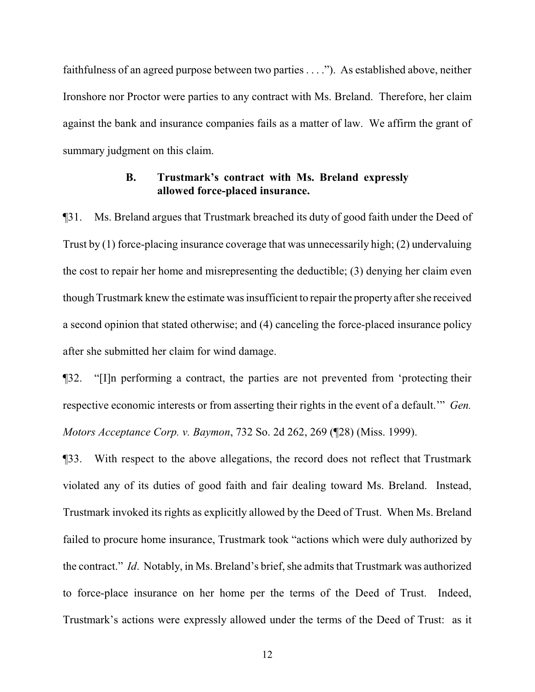faithfulness of an agreed purpose between two parties . . . ."). As established above, neither Ironshore nor Proctor were parties to any contract with Ms. Breland. Therefore, her claim against the bank and insurance companies fails as a matter of law. We affirm the grant of summary judgment on this claim.

## **B. Trustmark's contract with Ms. Breland expressly allowed force-placed insurance.**

¶31. Ms. Breland argues that Trustmark breached its duty of good faith under the Deed of Trust by (1) force-placing insurance coverage that was unnecessarily high; (2) undervaluing the cost to repair her home and misrepresenting the deductible; (3) denying her claim even though Trustmark knew the estimate was insufficient to repair the property after she received a second opinion that stated otherwise; and (4) canceling the force-placed insurance policy after she submitted her claim for wind damage.

¶32. "[I]n performing a contract, the parties are not prevented from 'protecting their respective economic interests or from asserting their rights in the event of a default.'" *Gen. Motors Acceptance Corp. v. Baymon*, 732 So. 2d 262, 269 (¶28) (Miss. 1999).

¶33. With respect to the above allegations, the record does not reflect that Trustmark violated any of its duties of good faith and fair dealing toward Ms. Breland. Instead, Trustmark invoked its rights as explicitly allowed by the Deed of Trust. When Ms. Breland failed to procure home insurance, Trustmark took "actions which were duly authorized by the contract." *Id*. Notably, in Ms. Breland's brief, she admits that Trustmark was authorized to force-place insurance on her home per the terms of the Deed of Trust. Indeed, Trustmark's actions were expressly allowed under the terms of the Deed of Trust: as it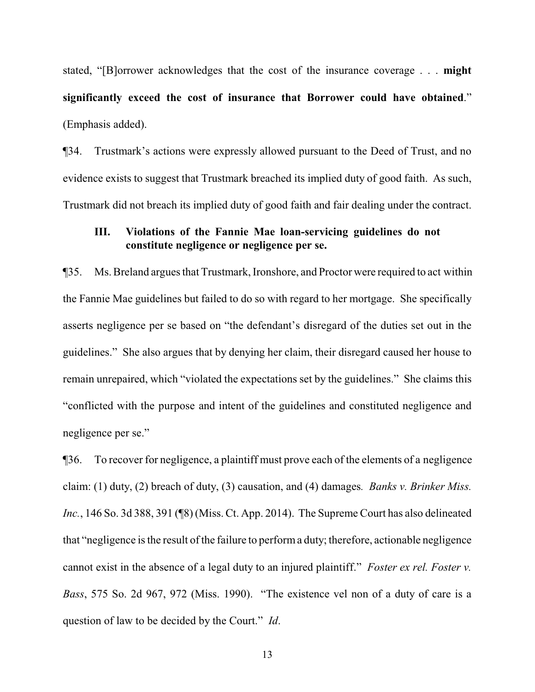stated, "[B]orrower acknowledges that the cost of the insurance coverage . . . **might significantly exceed the cost of insurance that Borrower could have obtained**." (Emphasis added).

¶34. Trustmark's actions were expressly allowed pursuant to the Deed of Trust, and no evidence exists to suggest that Trustmark breached its implied duty of good faith. As such, Trustmark did not breach its implied duty of good faith and fair dealing under the contract.

# **III. Violations of the Fannie Mae loan-servicing guidelines do not constitute negligence or negligence per se.**

¶35. Ms. Breland argues that Trustmark, Ironshore, and Proctor were required to act within the Fannie Mae guidelines but failed to do so with regard to her mortgage. She specifically asserts negligence per se based on "the defendant's disregard of the duties set out in the guidelines." She also argues that by denying her claim, their disregard caused her house to remain unrepaired, which "violated the expectations set by the guidelines." She claims this "conflicted with the purpose and intent of the guidelines and constituted negligence and negligence per se."

¶36. To recover for negligence, a plaintiff must prove each of the elements of a negligence claim: (1) duty, (2) breach of duty, (3) causation, and (4) damages*. Banks v. Brinker Miss. Inc.*, 146 So. 3d 388, 391 (¶8) (Miss. Ct. App. 2014). The Supreme Court has also delineated that "negligence is the result of the failure to performa duty; therefore, actionable negligence cannot exist in the absence of a legal duty to an injured plaintiff." *Foster ex rel. Foster v. Bass*, 575 So. 2d 967, 972 (Miss. 1990). "The existence vel non of a duty of care is a question of law to be decided by the Court." *Id*.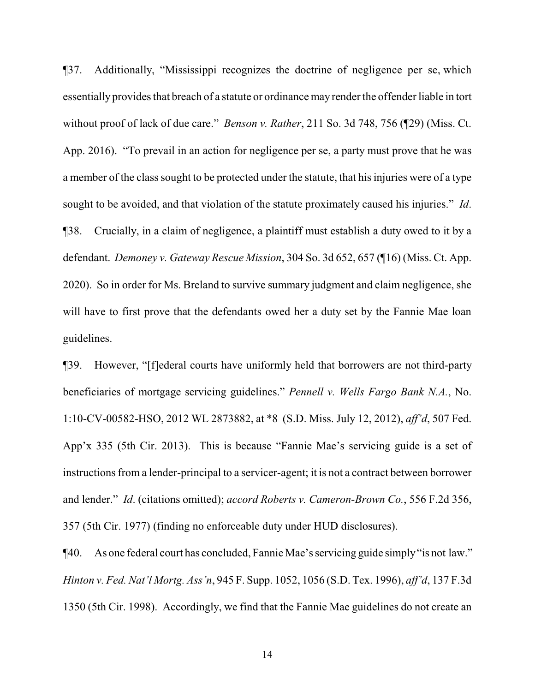¶37. Additionally, "Mississippi recognizes the doctrine of negligence per se, which essentially provides that breach of a statute or ordinance may render the offender liable in tort without proof of lack of due care." *Benson v. Rather*, 211 So. 3d 748, 756 (¶29) (Miss. Ct. App. 2016). "To prevail in an action for negligence per se, a party must prove that he was a member of the class sought to be protected under the statute, that his injuries were of a type sought to be avoided, and that violation of the statute proximately caused his injuries." *Id*. ¶38. Crucially, in a claim of negligence, a plaintiff must establish a duty owed to it by a defendant. *Demoney v. Gateway Rescue Mission*, 304 So. 3d 652, 657 (¶16) (Miss. Ct. App. 2020). So in order for Ms. Breland to survive summary judgment and claim negligence, she will have to first prove that the defendants owed her a duty set by the Fannie Mae loan guidelines.

¶39. However, "[f]ederal courts have uniformly held that borrowers are not third-party beneficiaries of mortgage servicing guidelines." *Pennell v. Wells Fargo Bank N.A.*, No. 1:10-CV-00582-HSO, 2012 WL 2873882, at \*8 (S.D. Miss. July 12, 2012), *aff'd*, 507 Fed. App'x 335 (5th Cir. 2013). This is because "Fannie Mae's servicing guide is a set of instructions from a lender-principal to a servicer-agent; it is not a contract between borrower and lender." *Id*. (citations omitted); *accord Roberts v. Cameron-Brown Co.*, 556 F.2d 356, 357 (5th Cir. 1977) (finding no enforceable duty under HUD disclosures).

¶40. As one federal court has concluded, Fannie Mae's servicing guide simply"is not law." *Hinton v. Fed. Nat'l Mortg. Ass'n*, 945 F. Supp. 1052, 1056 (S.D. Tex. 1996), *aff'd*, 137 F.3d 1350 (5th Cir. 1998). Accordingly, we find that the Fannie Mae guidelines do not create an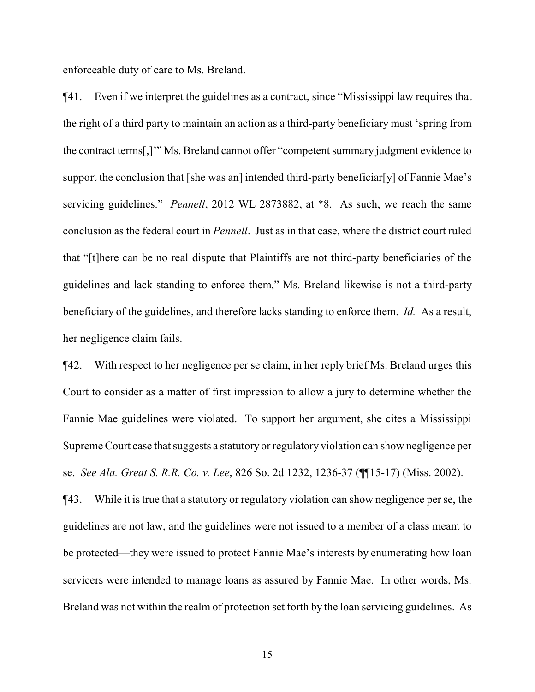enforceable duty of care to Ms. Breland.

¶41. Even if we interpret the guidelines as a contract, since "Mississippi law requires that the right of a third party to maintain an action as a third-party beneficiary must 'spring from the contract terms[,]'" Ms. Breland cannot offer "competent summary judgment evidence to support the conclusion that [she was an] intended third-party beneficiar[y] of Fannie Mae's servicing guidelines." *Pennell*, 2012 WL 2873882, at \*8. As such, we reach the same conclusion as the federal court in *Pennell*. Just as in that case, where the district court ruled that "[t]here can be no real dispute that Plaintiffs are not third-party beneficiaries of the guidelines and lack standing to enforce them," Ms. Breland likewise is not a third-party beneficiary of the guidelines, and therefore lacks standing to enforce them. *Id.* As a result, her negligence claim fails.

¶42. With respect to her negligence per se claim, in her reply brief Ms. Breland urges this Court to consider as a matter of first impression to allow a jury to determine whether the Fannie Mae guidelines were violated. To support her argument, she cites a Mississippi Supreme Court case that suggests a statutory or regulatory violation can show negligence per se. *See Ala. Great S. R.R. Co. v. Lee*, 826 So. 2d 1232, 1236-37 (¶¶15-17) (Miss. 2002).

¶43. While it is true that a statutory or regulatory violation can show negligence per se, the guidelines are not law, and the guidelines were not issued to a member of a class meant to be protected—they were issued to protect Fannie Mae's interests by enumerating how loan servicers were intended to manage loans as assured by Fannie Mae. In other words, Ms. Breland was not within the realm of protection set forth by the loan servicing guidelines. As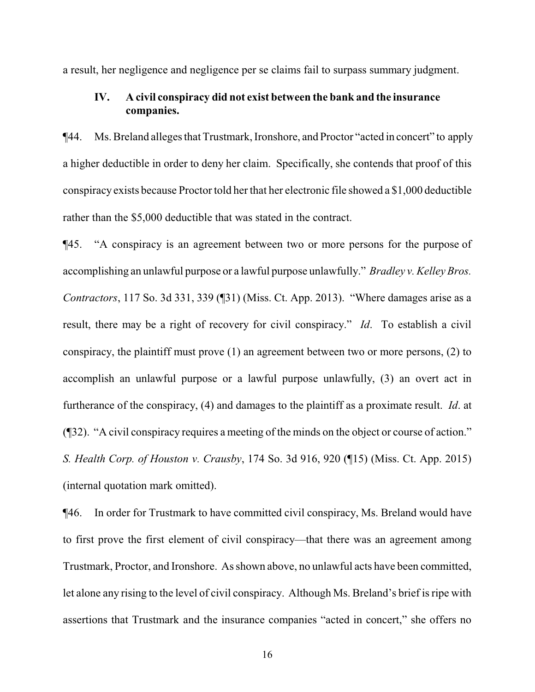a result, her negligence and negligence per se claims fail to surpass summary judgment.

# **IV. A civil conspiracy did not exist between the bank and the insurance companies.**

¶44. Ms. Breland alleges that Trustmark, Ironshore, and Proctor "acted in concert" to apply a higher deductible in order to deny her claim. Specifically, she contends that proof of this conspiracy exists because Proctor told her that her electronic file showed a \$1,000 deductible rather than the \$5,000 deductible that was stated in the contract.

¶45. "A conspiracy is an agreement between two or more persons for the purpose of accomplishing an unlawful purpose or a lawful purpose unlawfully." *Bradley v. Kelley Bros. Contractors*, 117 So. 3d 331, 339 (¶31) (Miss. Ct. App. 2013). "Where damages arise as a result, there may be a right of recovery for civil conspiracy." *Id*. To establish a civil conspiracy, the plaintiff must prove (1) an agreement between two or more persons, (2) to accomplish an unlawful purpose or a lawful purpose unlawfully, (3) an overt act in furtherance of the conspiracy, (4) and damages to the plaintiff as a proximate result. *Id*. at (¶32). "A civil conspiracy requires a meeting of the minds on the object or course of action." *S. Health Corp. of Houston v. Crausby*, 174 So. 3d 916, 920 (¶15) (Miss. Ct. App. 2015) (internal quotation mark omitted).

¶46. In order for Trustmark to have committed civil conspiracy, Ms. Breland would have to first prove the first element of civil conspiracy—that there was an agreement among Trustmark, Proctor, and Ironshore. As shown above, no unlawful acts have been committed, let alone any rising to the level of civil conspiracy. Although Ms. Breland's brief is ripe with assertions that Trustmark and the insurance companies "acted in concert," she offers no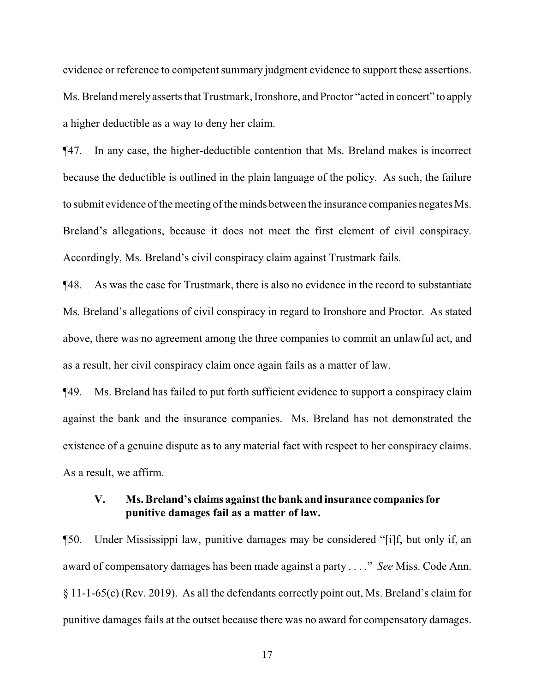evidence or reference to competent summary judgment evidence to support these assertions. Ms. Breland merelyasserts that Trustmark, Ironshore, and Proctor "acted in concert" to apply a higher deductible as a way to deny her claim.

¶47. In any case, the higher-deductible contention that Ms. Breland makes is incorrect because the deductible is outlined in the plain language of the policy. As such, the failure to submit evidence of the meeting of the minds between the insurance companies negates Ms. Breland's allegations, because it does not meet the first element of civil conspiracy. Accordingly, Ms. Breland's civil conspiracy claim against Trustmark fails.

¶48. As was the case for Trustmark, there is also no evidence in the record to substantiate Ms. Breland's allegations of civil conspiracy in regard to Ironshore and Proctor. As stated above, there was no agreement among the three companies to commit an unlawful act, and as a result, her civil conspiracy claim once again fails as a matter of law.

¶49. Ms. Breland has failed to put forth sufficient evidence to support a conspiracy claim against the bank and the insurance companies. Ms. Breland has not demonstrated the existence of a genuine dispute as to any material fact with respect to her conspiracy claims. As a result, we affirm.

## **V. Ms. Breland's claims against the bank and insurance companies for punitive damages fail as a matter of law.**

¶50. Under Mississippi law, punitive damages may be considered "[i]f, but only if, an award of compensatory damages has been made against a party . . . ." *See* Miss. Code Ann. § 11-1-65(c) (Rev. 2019). As all the defendants correctly point out, Ms. Breland's claim for punitive damages fails at the outset because there was no award for compensatory damages.

17